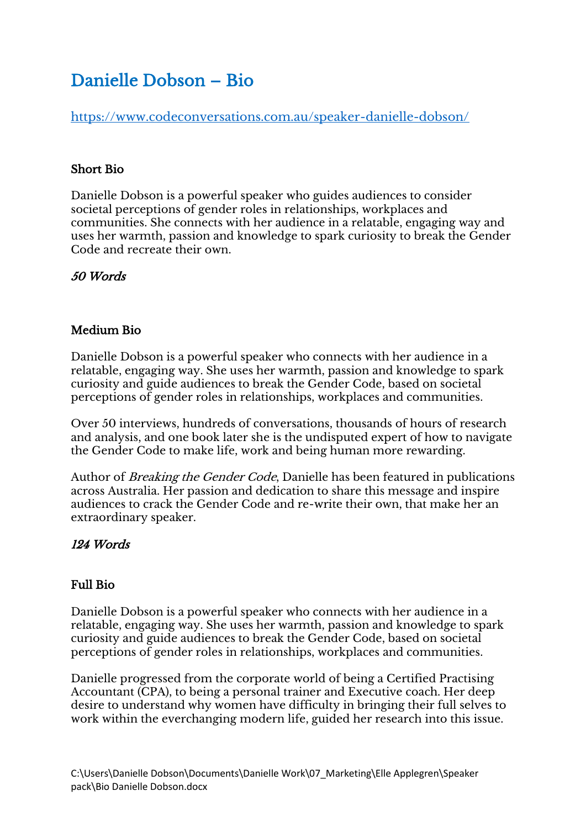# Danielle Dobson – Bio

<https://www.codeconversations.com.au/speaker-danielle-dobson/>

### Short Bio

Danielle Dobson is a powerful speaker who guides audiences to consider societal perceptions of gender roles in relationships, workplaces and communities. She connects with her audience in a relatable, engaging way and uses her warmth, passion and knowledge to spark curiosity to break the Gender Code and recreate their own.

## 50 Words

### Medium Bio

Danielle Dobson is a powerful speaker who connects with her audience in a relatable, engaging way. She uses her warmth, passion and knowledge to spark curiosity and guide audiences to break the Gender Code, based on societal perceptions of gender roles in relationships, workplaces and communities.

Over 50 interviews, hundreds of conversations, thousands of hours of research and analysis, and one book later she is the undisputed expert of how to navigate the Gender Code to make life, work and being human more rewarding.

Author of Breaking the Gender Code, Danielle has been featured in publications across Australia. Her passion and dedication to share this message and inspire audiences to crack the Gender Code and re-write their own, that make her an extraordinary speaker.

### 124 Words

### Full Bio

Danielle Dobson is a powerful speaker who connects with her audience in a relatable, engaging way. She uses her warmth, passion and knowledge to spark curiosity and guide audiences to break the Gender Code, based on societal perceptions of gender roles in relationships, workplaces and communities.

Danielle progressed from the corporate world of being a Certified Practising Accountant (CPA), to being a personal trainer and Executive coach. Her deep desire to understand why women have difficulty in bringing their full selves to work within the everchanging modern life, guided her research into this issue.